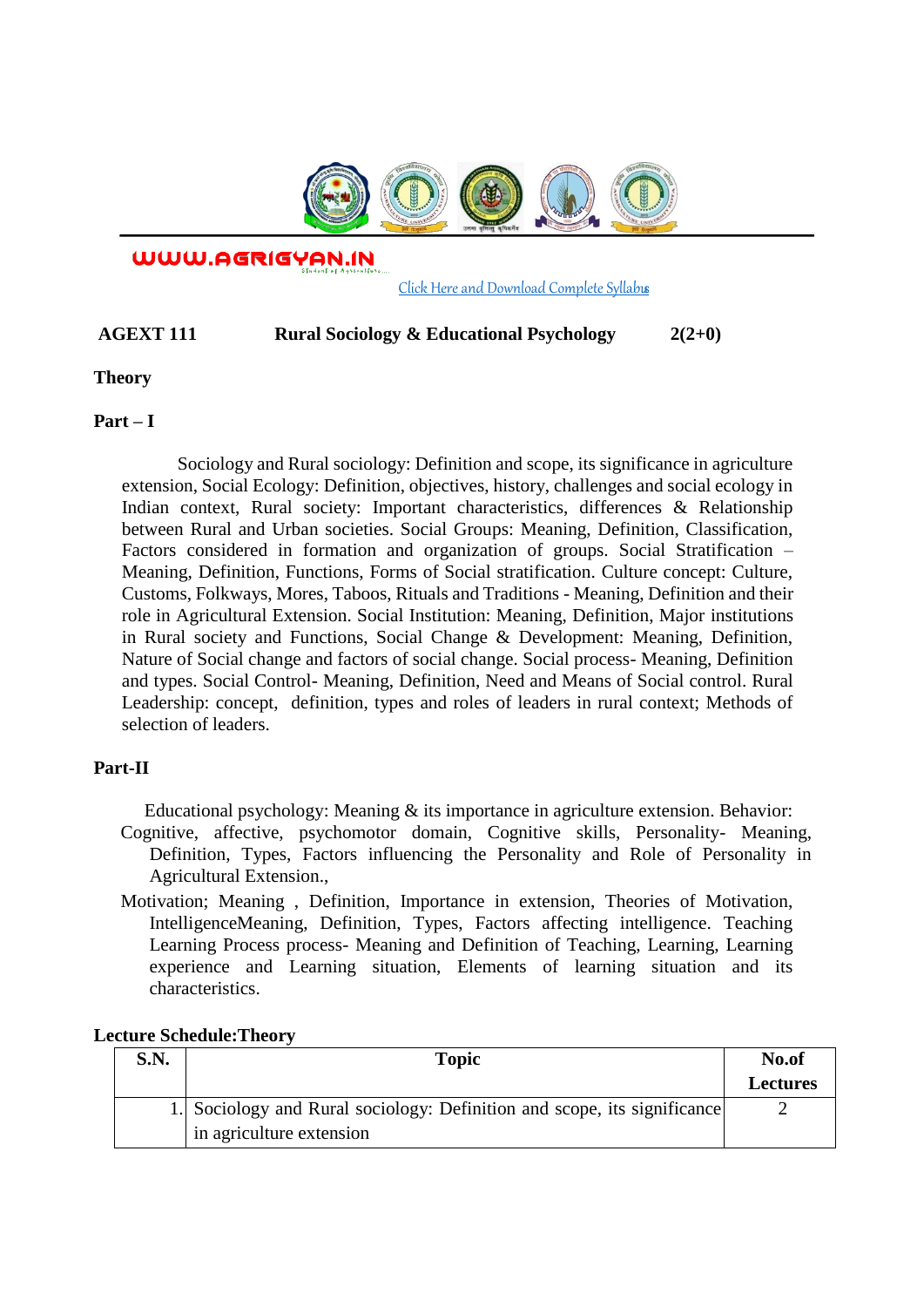

WWW.AGRIGYAN.IN

[Click Here and Download Complete Syllabus](http://agrigyan.in/)

# **AGEXT 111 Rural Sociology & Educational Psychology 2(2+0)**

# **Theory**

 $\overline{a}$ 

# **Part – I**

Sociology and Rural sociology: Definition and scope, its significance in agriculture extension, Social Ecology: Definition, objectives, history, challenges and social ecology in Indian context, Rural society: Important characteristics, differences & Relationship between Rural and Urban societies. Social Groups: Meaning, Definition, Classification, Factors considered in formation and organization of groups. Social Stratification – Meaning, Definition, Functions, Forms of Social stratification. Culture concept: Culture, Customs, Folkways, Mores, Taboos, Rituals and Traditions - Meaning, Definition and their role in Agricultural Extension. Social Institution: Meaning, Definition, Major institutions in Rural society and Functions, Social Change & Development: Meaning, Definition, Nature of Social change and factors of social change. Social process- Meaning, Definition and types. Social Control- Meaning, Definition, Need and Means of Social control. Rural Leadership: concept, definition, types and roles of leaders in rural context; Methods of selection of leaders.

# **Part-II**

Educational psychology: Meaning & its importance in agriculture extension. Behavior:

- Cognitive, affective, psychomotor domain, Cognitive skills, Personality- Meaning, Definition, Types, Factors influencing the Personality and Role of Personality in Agricultural Extension.,
- Motivation; Meaning , Definition, Importance in extension, Theories of Motivation, IntelligenceMeaning, Definition, Types, Factors affecting intelligence. Teaching Learning Process process- Meaning and Definition of Teaching, Learning, Learning experience and Learning situation, Elements of learning situation and its characteristics.

### **Lecture Schedule:Theory**

| S.N. | <b>Topic</b>                                                             | No.of           |
|------|--------------------------------------------------------------------------|-----------------|
|      |                                                                          | <b>Lectures</b> |
|      | 1. Sociology and Rural sociology: Definition and scope, its significance |                 |
|      | in agriculture extension                                                 |                 |